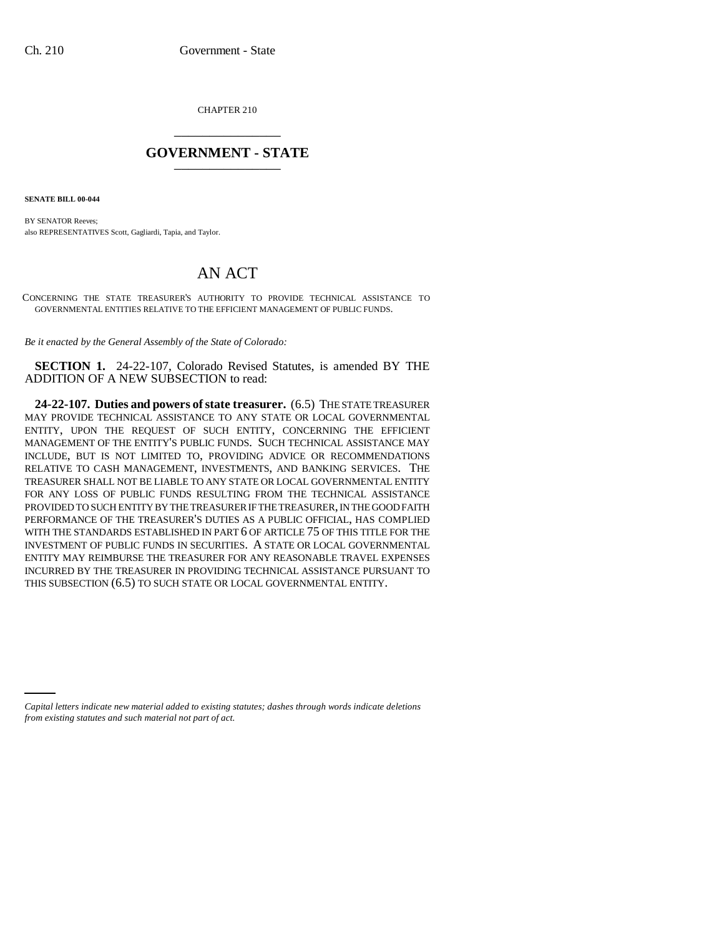CHAPTER 210 \_\_\_\_\_\_\_\_\_\_\_\_\_\_\_

## **GOVERNMENT - STATE** \_\_\_\_\_\_\_\_\_\_\_\_\_\_\_

**SENATE BILL 00-044** 

BY SENATOR Reeves; also REPRESENTATIVES Scott, Gagliardi, Tapia, and Taylor.

## AN ACT

CONCERNING THE STATE TREASURER'S AUTHORITY TO PROVIDE TECHNICAL ASSISTANCE TO GOVERNMENTAL ENTITIES RELATIVE TO THE EFFICIENT MANAGEMENT OF PUBLIC FUNDS.

*Be it enacted by the General Assembly of the State of Colorado:*

**SECTION 1.** 24-22-107, Colorado Revised Statutes, is amended BY THE ADDITION OF A NEW SUBSECTION to read:

**24-22-107. Duties and powers of state treasurer.** (6.5) THE STATE TREASURER MAY PROVIDE TECHNICAL ASSISTANCE TO ANY STATE OR LOCAL GOVERNMENTAL ENTITY, UPON THE REQUEST OF SUCH ENTITY, CONCERNING THE EFFICIENT MANAGEMENT OF THE ENTITY'S PUBLIC FUNDS. SUCH TECHNICAL ASSISTANCE MAY INCLUDE, BUT IS NOT LIMITED TO, PROVIDING ADVICE OR RECOMMENDATIONS RELATIVE TO CASH MANAGEMENT, INVESTMENTS, AND BANKING SERVICES. THE TREASURER SHALL NOT BE LIABLE TO ANY STATE OR LOCAL GOVERNMENTAL ENTITY FOR ANY LOSS OF PUBLIC FUNDS RESULTING FROM THE TECHNICAL ASSISTANCE PROVIDED TO SUCH ENTITY BY THE TREASURER IF THE TREASURER, IN THE GOOD FAITH PERFORMANCE OF THE TREASURER'S DUTIES AS A PUBLIC OFFICIAL, HAS COMPLIED WITH THE STANDARDS ESTABLISHED IN PART 6 OF ARTICLE 75 OF THIS TITLE FOR THE INVESTMENT OF PUBLIC FUNDS IN SECURITIES. A STATE OR LOCAL GOVERNMENTAL ENTITY MAY REIMBURSE THE TREASURER FOR ANY REASONABLE TRAVEL EXPENSES INCURRED BY THE TREASURER IN PROVIDING TECHNICAL ASSISTANCE PURSUANT TO THIS SUBSECTION (6.5) TO SUCH STATE OR LOCAL GOVERNMENTAL ENTITY.

*Capital letters indicate new material added to existing statutes; dashes through words indicate deletions from existing statutes and such material not part of act.*